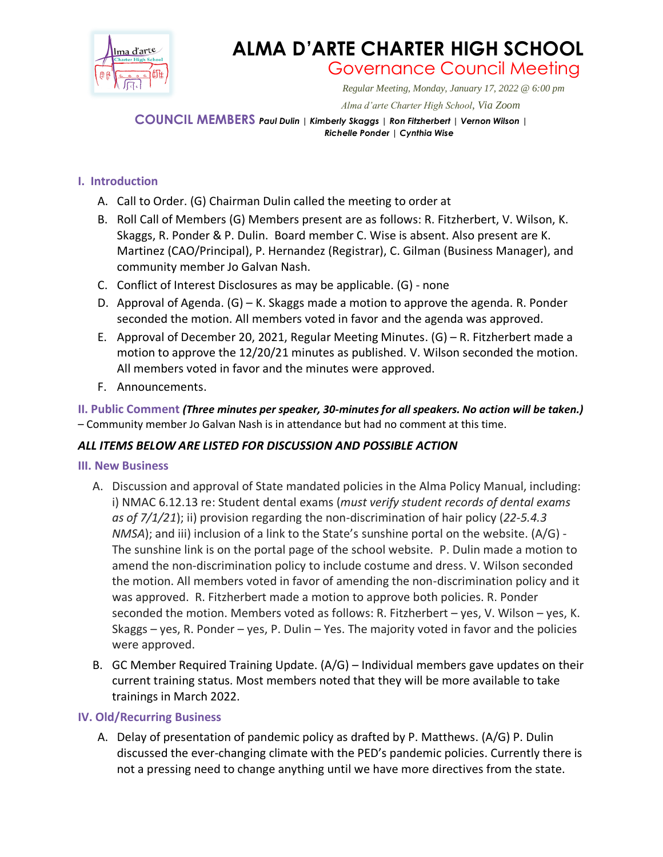

# **ALMA D'ARTE CHARTER HIGH SCHOOL** Governance Council Meeting

*Regular Meeting, Monday, January 17, 2022 @ 6:00 pm*

 *Alma d'arte Charter High School, Via Zoom*

**COUNCIL MEMBERS** *Paul Dulin | Kimberly Skaggs | Ron Fitzherbert <sup>|</sup> Vernon Wilson | Richelle Ponder | Cynthia Wise*

# **I. Introduction**

- A. Call to Order. (G) Chairman Dulin called the meeting to order at
- B. Roll Call of Members (G) Members present are as follows: R. Fitzherbert, V. Wilson, K. Skaggs, R. Ponder & P. Dulin. Board member C. Wise is absent. Also present are K. Martinez (CAO/Principal), P. Hernandez (Registrar), C. Gilman (Business Manager), and community member Jo Galvan Nash.
- C. Conflict of Interest Disclosures as may be applicable. (G) none
- D. Approval of Agenda. (G) K. Skaggs made a motion to approve the agenda. R. Ponder seconded the motion. All members voted in favor and the agenda was approved.
- E. Approval of December 20, 2021, Regular Meeting Minutes. (G) R. Fitzherbert made a motion to approve the 12/20/21 minutes as published. V. Wilson seconded the motion. All members voted in favor and the minutes were approved.
- F. Announcements.

**II. Public Comment** *(Three minutes per speaker, 30-minutes for all speakers. No action will be taken.)* – Community member Jo Galvan Nash is in attendance but had no comment at this time.

### *ALL ITEMS BELOW ARE LISTED FOR DISCUSSION AND POSSIBLE ACTION*

### **III. New Business**

- A. Discussion and approval of State mandated policies in the Alma Policy Manual, including: i) NMAC 6.12.13 re: Student dental exams (*must verify student records of dental exams as of 7/1/21*); ii) provision regarding the non-discrimination of hair policy (*22-5.4.3 NMSA*); and iii) inclusion of a link to the State's sunshine portal on the website. (A/G) - The sunshine link is on the portal page of the school website. P. Dulin made a motion to amend the non-discrimination policy to include costume and dress. V. Wilson seconded the motion. All members voted in favor of amending the non-discrimination policy and it was approved. R. Fitzherbert made a motion to approve both policies. R. Ponder seconded the motion. Members voted as follows: R. Fitzherbert – yes, V. Wilson – yes, K. Skaggs – yes, R. Ponder – yes, P. Dulin – Yes. The majority voted in favor and the policies were approved.
- B. GC Member Required Training Update. (A/G) Individual members gave updates on their current training status. Most members noted that they will be more available to take trainings in March 2022.

### **IV. Old/Recurring Business**

A. Delay of presentation of pandemic policy as drafted by P. Matthews. (A/G) P. Dulin discussed the ever-changing climate with the PED's pandemic policies. Currently there is not a pressing need to change anything until we have more directives from the state.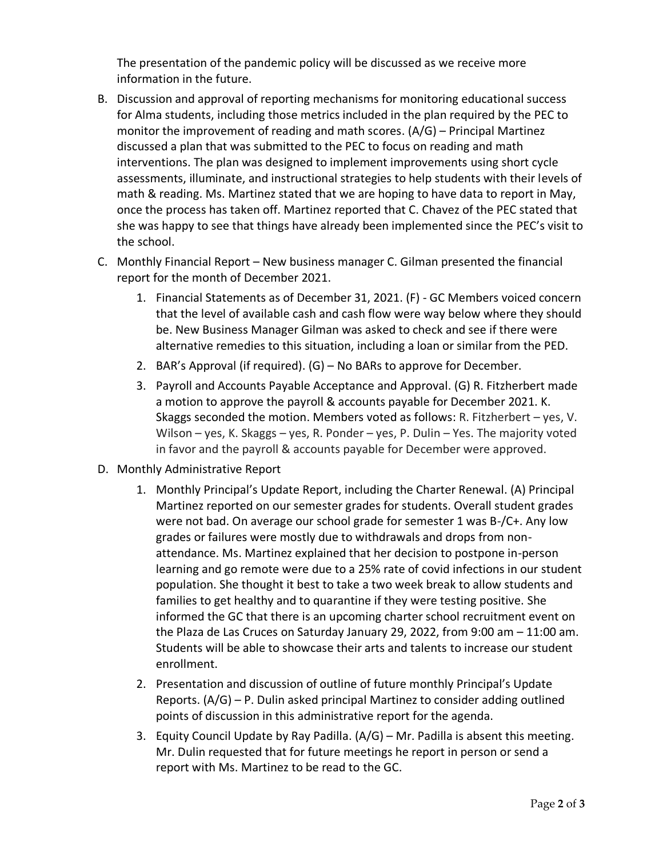The presentation of the pandemic policy will be discussed as we receive more information in the future.

- B. Discussion and approval of reporting mechanisms for monitoring educational success for Alma students, including those metrics included in the plan required by the PEC to monitor the improvement of reading and math scores. (A/G) – Principal Martinez discussed a plan that was submitted to the PEC to focus on reading and math interventions. The plan was designed to implement improvements using short cycle assessments, illuminate, and instructional strategies to help students with their levels of math & reading. Ms. Martinez stated that we are hoping to have data to report in May, once the process has taken off. Martinez reported that C. Chavez of the PEC stated that she was happy to see that things have already been implemented since the PEC's visit to the school.
- C. Monthly Financial Report New business manager C. Gilman presented the financial report for the month of December 2021.
	- 1. Financial Statements as of December 31, 2021. (F) GC Members voiced concern that the level of available cash and cash flow were way below where they should be. New Business Manager Gilman was asked to check and see if there were alternative remedies to this situation, including a loan or similar from the PED.
	- 2. BAR's Approval (if required). (G) No BARs to approve for December.
	- 3. Payroll and Accounts Payable Acceptance and Approval. (G) R. Fitzherbert made a motion to approve the payroll & accounts payable for December 2021. K. Skaggs seconded the motion. Members voted as follows: R. Fitzherbert – yes, V. Wilson – yes, K. Skaggs – yes, R. Ponder – yes, P. Dulin – Yes. The majority voted in favor and the payroll & accounts payable for December were approved.
- D. Monthly Administrative Report
	- 1. Monthly Principal's Update Report, including the Charter Renewal. (A) Principal Martinez reported on our semester grades for students. Overall student grades were not bad. On average our school grade for semester 1 was B-/C+. Any low grades or failures were mostly due to withdrawals and drops from nonattendance. Ms. Martinez explained that her decision to postpone in-person learning and go remote were due to a 25% rate of covid infections in our student population. She thought it best to take a two week break to allow students and families to get healthy and to quarantine if they were testing positive. She informed the GC that there is an upcoming charter school recruitment event on the Plaza de Las Cruces on Saturday January 29, 2022, from 9:00 am – 11:00 am. Students will be able to showcase their arts and talents to increase our student enrollment.
	- 2. Presentation and discussion of outline of future monthly Principal's Update Reports. (A/G) – P. Dulin asked principal Martinez to consider adding outlined points of discussion in this administrative report for the agenda.
	- 3. Equity Council Update by Ray Padilla. (A/G) Mr. Padilla is absent this meeting. Mr. Dulin requested that for future meetings he report in person or send a report with Ms. Martinez to be read to the GC.